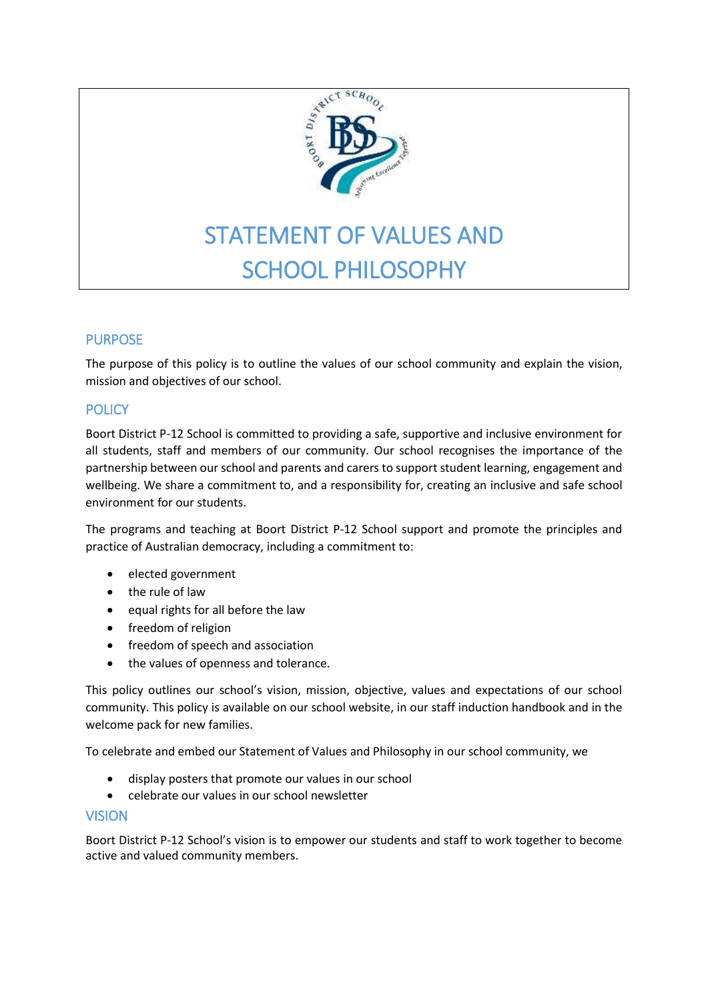

# STATEMENT OF VALUES AND SCHOOL PHILOSOPHY

# PURPOSE

The purpose of this policy is to outline the values of our school community and explain the vision, mission and objectives of our school.

# **POLICY**

Boort District P-12 School is committed to providing a safe, supportive and inclusive environment for all students, staff and members of our community. Our school recognises the importance of the partnership between our school and parents and carers to support student learning, engagement and wellbeing. We share a commitment to, and a responsibility for, creating an inclusive and safe school environment for our students.

The programs and teaching at Boort District P-12 School support and promote the principles and practice of Australian democracy, including a commitment to:

- elected government
- the rule of law
- equal rights for all before the law
- freedom of religion
- freedom of speech and association
- the values of openness and tolerance.

This policy outlines our school's vision, mission, objective, values and expectations of our school community. This policy is available on our school website, in our staff induction handbook and in the welcome pack for new families.

To celebrate and embed our Statement of Values and Philosophy in our school community, we

- display posters that promote our values in our school
- celebrate our values in our school newsletter

## VISION

Boort District P-12 School's vision is to empower our students and staff to work together to become active and valued community members.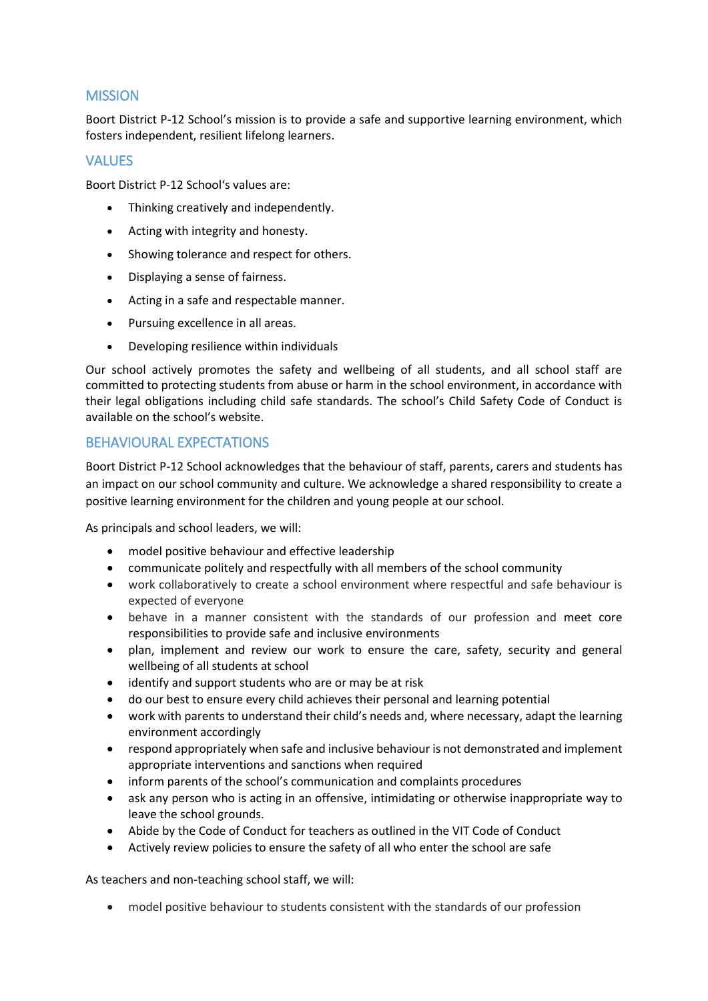# **MISSION**

Boort District P-12 School's mission is to provide a safe and supportive learning environment, which fosters independent, resilient lifelong learners.

# VALUES

Boort District P-12 School's values are:

- Thinking creatively and independently.
- Acting with integrity and honesty.
- Showing tolerance and respect for others.
- Displaying a sense of fairness.
- Acting in a safe and respectable manner.
- Pursuing excellence in all areas.
- Developing resilience within individuals

Our school actively promotes the safety and wellbeing of all students, and all school staff are committed to protecting students from abuse or harm in the school environment, in accordance with their legal obligations including child safe standards. The school's Child Safety Code of Conduct is available on the school's website.

## BEHAVIOURAL EXPECTATIONS

Boort District P-12 School acknowledges that the behaviour of staff, parents, carers and students has an impact on our school community and culture. We acknowledge a shared responsibility to create a positive learning environment for the children and young people at our school.

As principals and school leaders, we will:

- model positive behaviour and effective leadership
- communicate politely and respectfully with all members of the school community
- work collaboratively to create a school environment where respectful and safe behaviour is expected of everyone
- behave in a manner consistent with the standards of our profession and meet core responsibilities to provide safe and inclusive environments
- plan, implement and review our work to ensure the care, safety, security and general wellbeing of all students at school
- identify and support students who are or may be at risk
- do our best to ensure every child achieves their personal and learning potential
- work with parents to understand their child's needs and, where necessary, adapt the learning environment accordingly
- respond appropriately when safe and inclusive behaviour is not demonstrated and implement appropriate interventions and sanctions when required
- inform parents of the school's communication and complaints procedures
- ask any person who is acting in an offensive, intimidating or otherwise inappropriate way to leave the school grounds.
- Abide by the Code of Conduct for teachers as outlined in the VIT Code of Conduct
- Actively review policies to ensure the safety of all who enter the school are safe

As teachers and non-teaching school staff, we will:

model positive behaviour to students consistent with the standards of our profession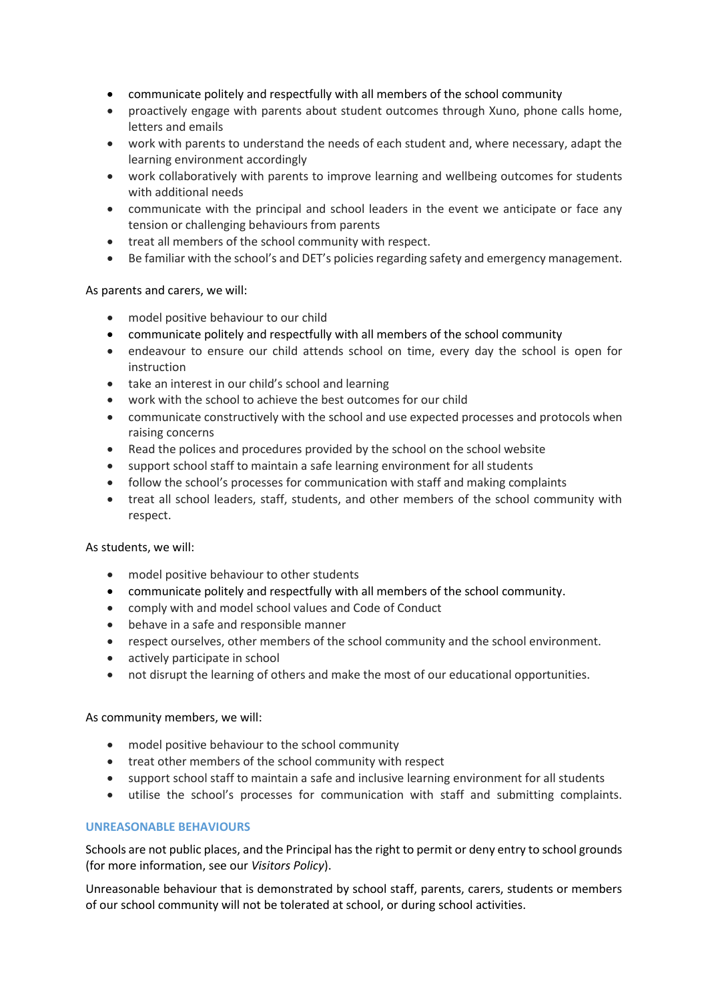- communicate politely and respectfully with all members of the school community
- proactively engage with parents about student outcomes through Xuno, phone calls home, letters and emails
- work with parents to understand the needs of each student and, where necessary, adapt the learning environment accordingly
- work collaboratively with parents to improve learning and wellbeing outcomes for students with additional needs
- communicate with the principal and school leaders in the event we anticipate or face any tension or challenging behaviours from parents
- treat all members of the school community with respect.
- Be familiar with the school's and DET's policies regarding safety and emergency management.

#### As parents and carers, we will:

- model positive behaviour to our child
- communicate politely and respectfully with all members of the school community
- endeavour to ensure our child attends school on time, every day the school is open for instruction
- take an interest in our child's school and learning
- work with the school to achieve the best outcomes for our child
- communicate constructively with the school and use expected processes and protocols when raising concerns
- Read the polices and procedures provided by the school on the school website
- support school staff to maintain a safe learning environment for all students
- follow the school's processes for communication with staff and making complaints
- treat all school leaders, staff, students, and other members of the school community with respect.

#### As students, we will:

- model positive behaviour to other students
- communicate politely and respectfully with all members of the school community.
- comply with and model school values and Code of Conduct
- behave in a safe and responsible manner
- respect ourselves, other members of the school community and the school environment.
- actively participate in school
- not disrupt the learning of others and make the most of our educational opportunities.

#### As community members, we will:

- model positive behaviour to the school community
- treat other members of the school community with respect
- support school staff to maintain a safe and inclusive learning environment for all students
- utilise the school's processes for communication with staff and submitting complaints.

#### **UNREASONABLE BEHAVIOURS**

Schools are not public places, and the Principal has the right to permit or deny entry to school grounds (for more information, see our *Visitors Policy*).

Unreasonable behaviour that is demonstrated by school staff, parents, carers, students or members of our school community will not be tolerated at school, or during school activities.